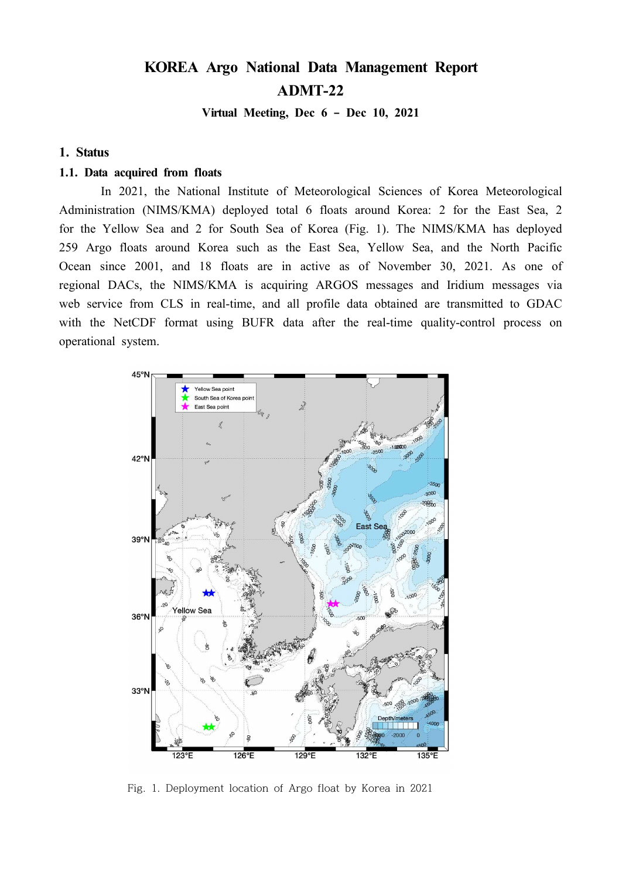# **KOREA Argo National Data Management Report ADMT-22**

**Virtual Meeting, Dec 6 – Dec 10, 2021**

#### **1. Status**

#### **1.1. Data acquired from floats**

In 2021, the National Institute of Meteorological Sciences of Korea Meteorological Administration (NIMS/KMA) deployed total 6 floats around Korea: 2 for the East Sea, 2 for the Yellow Sea and 2 for South Sea of Korea (Fig. 1). The NIMS/KMA has deployed 259 Argo floats around Korea such as the East Sea, Yellow Sea, and the North Pacific Ocean since 2001, and 18 floats are in active as of November 30, 2021. As one of regional DACs, the NIMS/KMA is acquiring ARGOS messages and Iridium messages via web service from CLS in real-time, and all profile data obtained are transmitted to GDAC with the NetCDF format using BUFR data after the real-time quality-control process on operational system.



Fig. 1. Deployment location of Argo float by Korea in 2021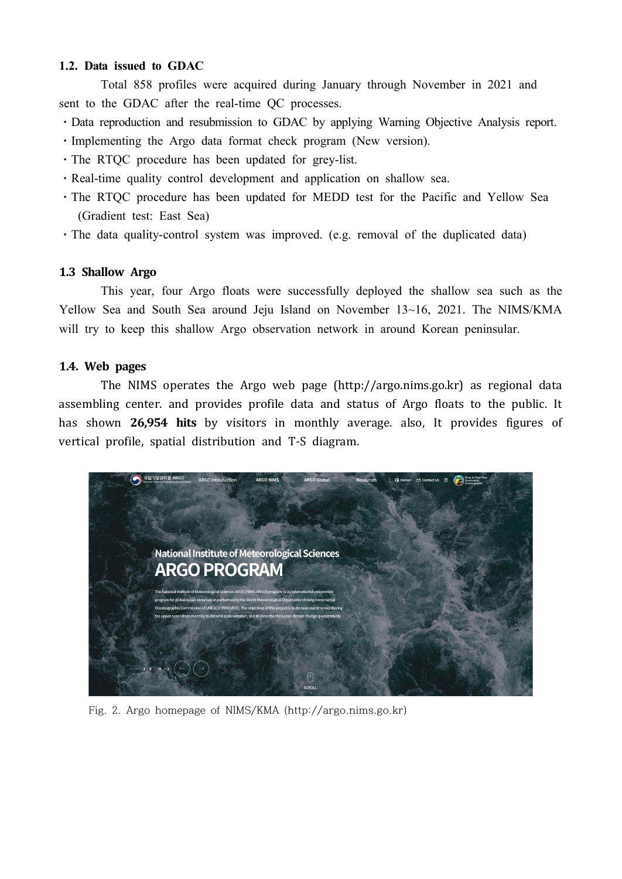## **1.2. Data issued to GDAC**

Total 858 profiles were acquired during January through November in 2021 and sent to the GDAC after the real-time QC processes.

- Data reproduction and resubmission to GDAC by applying Warning Objective Analysis report.
- ⋅Implementing the Argo data format check program (New version).
- ⋅The RTQC procedure has been updated for grey-list.
- ⋅Real-time quality control development and application on shallow sea.
- The RTOC procedure has been updated for MEDD test for the Pacific and Yellow Sea (Gradient test: East Sea)
- The data quality-control system was improved. (e.g. removal of the duplicated data)

## **1.3 Shallow Argo**

This year, four Argo floats were successfully deployed the shallow sea such as the Yellow Sea and South Sea around Jeju Island on November 13~16, 2021. The NIMS/KMA will try to keep this shallow Argo observation network in around Korean peninsular.

# **1.4. Web pages**

The NIMS operates the Argo web page (http://argo.nims.go.kr) as regional data assembling center. and provides profile data and status of Argo floats to the public. It has shown **26,954 hits** by visitors in monthly average. also, It provides figures of vertical profile, spatial distribution and T-S diagram.



Fig. 2. Argo homepage of NIMS/KMA (http://argo.nims.go.kr)